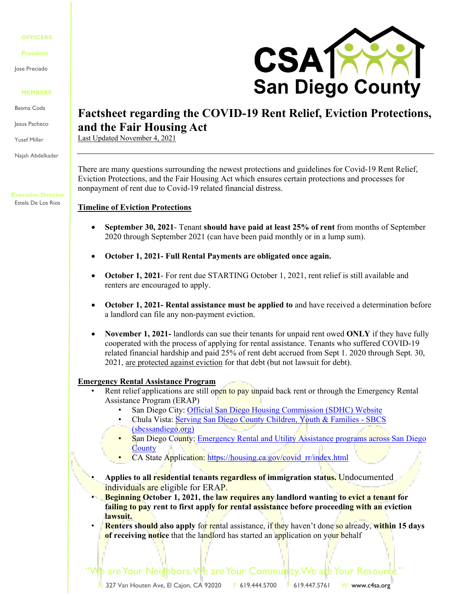#### **OFFICERS**

 **President**

Jose Preciado

#### **MEMBERS**

Besma Coda

Jesus Pacheco

Yusef Miller

Najah Abdelkader

**Executive Director** Estela De Los Rios



# **Factsheet regarding the COVID-19 Rent Relief, Eviction Protections, and the Fair Housing Act**

Last Updated November 4, 2021

There are many questions surrounding the newest protections and guidelines for Covid-19 Rent Relief, Eviction Protections, and the Fair Housing Act which ensures certain protections and processes for nonpayment of rent due to Covid-19 related financial distress.

#### **Timeline of Eviction Protections**

- **September 30, 2021** Tenant **should have paid at least 25% of rent** from months of September 2020 through September 2021 (can have been paid monthly or in a lump sum).
- **October 1, 2021- Full Rental Payments are obligated once again.**
- **October 1, 2021** For rent due STARTING October 1, 2021, rent relief is still available and renters are encouraged to apply.
- **October 1, 2021- Rental assistance must be applied to** and have received a determination before a landlord can file any non-payment eviction.
- **November 1, 2021-** landlords can sue their tenants for unpaid rent owed **ONLY** if they have fully cooperated with the process of applying for rental assistance. Tenants who suffered COVID-19 related financial hardship and paid 25% of rent debt accrued from Sept 1. 2020 through Sept. 30, 2021, are protected against eviction for that debt (but not lawsuit for debt).

#### **Emergency Rental Assistance Program**

- Rent relief applications are still open to pay unpaid back rent or through the Emergency Rental Assistance Program (ERAP)
	- San Diego City: [Official San Diego Housing Commission \(SDHC\) Website](https://www.sdhc.org/)
	- Chula Vista: [Serving San Diego County Children, Youth & Families -](https://sbcssandiego.org/) SBCS [\(sbcssandiego.org\)](https://sbcssandiego.org/)
	- San Diego County: [Emergency Rental and Utility Assistance programs across San Diego](https://www.sandiegocounty.gov/content/sdc/sdhcd/erap.html)  **[County](https://www.sandiegocounty.gov/content/sdc/sdhcd/erap.html)**
	- CA State Application: [https://housing.ca.gov/covid\\_rr/index.html](https://housing.ca.gov/covid_rr/index.html)
- **Applies to all residential tenants regardless of immigration status.** Undocumented individuals are eligible for ERAP.
- **Beginning October 1, 2021, the law requires any landlord wanting to evict a tenant for failing to pay rent to first apply for rental assistance before proceeding with an eviction lawsuit.**
- **Renters should also apply** for rental assistance, if they haven't done so already, **within 15 days**  of receiving notice that the landlord has started an application on your behalf

"We are Your Neighbors.We are Your Community.We are Your Resourc **A: 327 Van Houten Ave, El Cajon, CA 92020** P: 619.444.5700 F: 619.447.5761 W: www.c4sa.org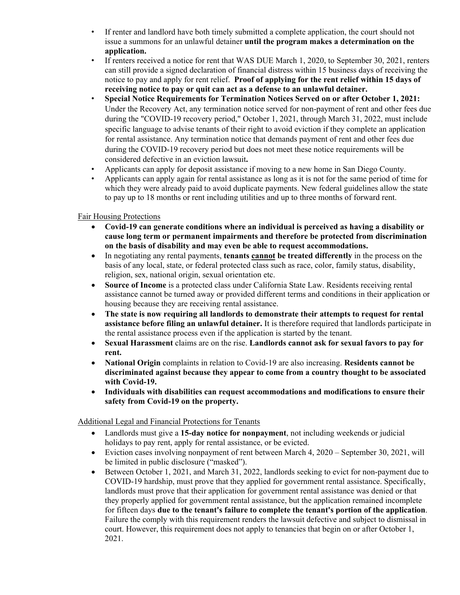- If renter and landlord have both timely submitted a complete application, the court should not issue a summons for an unlawful detainer **until the program makes a determination on the application.**
- If renters received a notice for rent that WAS DUE March 1, 2020, to September 30, 2021, renters can still provide a signed declaration of financial distress within 15 business days of receiving the notice to pay and apply for rent relief. **Proof of applying for the rent relief within 15 days of receiving notice to pay or quit can act as a defense to an unlawful detainer.**
- **Special Notice Requirements for Termination Notices Served on or after October 1, 2021:** Under the Recovery Act, any termination notice served for non-payment of rent and other fees due during the "COVID-19 recovery period," October 1, 2021, through March 31, 2022, must include specific language to advise tenants of their right to avoid eviction if they complete an application for rental assistance. Any termination notice that demands payment of rent and other fees due during the COVID-19 recovery period but does not meet these notice requirements will be considered defective in an eviction lawsuit**.**
- Applicants can apply for deposit assistance if moving to a new home in San Diego County.
- Applicants can apply again for rental assistance as long as it is not for the same period of time for which they were already paid to avoid duplicate payments. New federal guidelines allow the state to pay up to 18 months or rent including utilities and up to three months of forward rent.

## Fair Housing Protections

- **Covid-19 can generate conditions where an individual is perceived as having a disability or cause long term or permanent impairments and therefore be protected from discrimination on the basis of disability and may even be able to request accommodations.**
- In negotiating any rental payments, **tenants cannot be treated differently** in the process on the basis of any local, state, or federal protected class such as race, color, family status, disability, religion, sex, national origin, sexual orientation etc.
- **Source of Income** is a protected class under California State Law. Residents receiving rental assistance cannot be turned away or provided different terms and conditions in their application or housing because they are receiving rental assistance.
- **The state is now requiring all landlords to demonstrate their attempts to request for rental assistance before filing an unlawful detainer.** It is therefore required that landlords participate in the rental assistance process even if the application is started by the tenant.
- **Sexual Harassment** claims are on the rise. **Landlords cannot ask for sexual favors to pay for rent.**
- **National Origin** complaints in relation to Covid-19 are also increasing. **Residents cannot be discriminated against because they appear to come from a country thought to be associated with Covid-19.**
- **Individuals with disabilities can request accommodations and modifications to ensure their safety from Covid-19 on the property.**

# Additional Legal and Financial Protections for Tenants

- Landlords must give a **15-day notice for nonpayment**, not including weekends or judicial holidays to pay rent, apply for rental assistance, or be evicted.
- Eviction cases involving nonpayment of rent between March 4, 2020 September 30, 2021, will be limited in public disclosure ("masked").
- Between October 1, 2021, and March 31, 2022, landlords seeking to evict for non-payment due to COVID-19 hardship, must prove that they applied for government rental assistance. Specifically, landlords must prove that their application for government rental assistance was denied or that they properly applied for government rental assistance, but the application remained incomplete for fifteen days **due to the tenant's failure to complete the tenant's portion of the application**. Failure the comply with this requirement renders the lawsuit defective and subject to dismissal in court. However, this requirement does not apply to tenancies that begin on or after October 1, 2021.